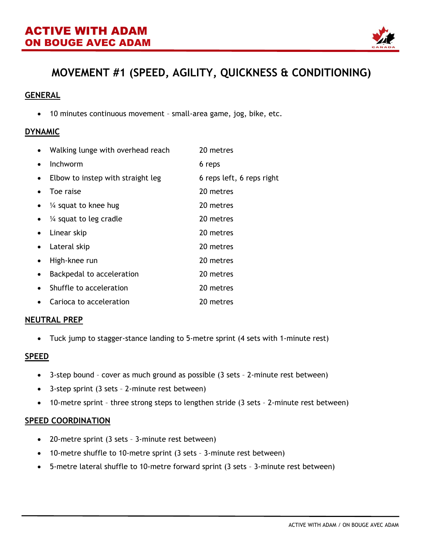

# **MOVEMENT #1 (SPEED, AGILITY, QUICKNESS & CONDITIONING)**

# **GENERAL**

• 10 minutes continuous movement – small-area game, jog, bike, etc.

### **DYNAMIC**

|           | Walking lunge with overhead reach | 20 metres                 |
|-----------|-----------------------------------|---------------------------|
| $\bullet$ | Inchworm                          | 6 reps                    |
| $\bullet$ | Elbow to instep with straight leg | 6 reps left, 6 reps right |
|           | Toe raise                         | 20 metres                 |
| $\bullet$ | $\frac{1}{4}$ squat to knee hug   | 20 metres                 |
| $\bullet$ | $\frac{1}{4}$ squat to leg cradle | 20 metres                 |
| $\bullet$ | Linear skip                       | 20 metres                 |
| $\bullet$ | Lateral skip                      | 20 metres                 |
|           | High-knee run                     | 20 metres                 |
| $\bullet$ | Backpedal to acceleration         | 20 metres                 |
| $\bullet$ | Shuffle to acceleration           | 20 metres                 |
| $\bullet$ | Carioca to acceleration           | 20 metres                 |

#### **NEUTRAL PREP**

• Tuck jump to stagger-stance landing to 5-metre sprint (4 sets with 1-minute rest)

#### **SPEED**

- 3-step bound cover as much ground as possible (3 sets 2-minute rest between)
- 3-step sprint (3 sets 2-minute rest between)
- 10-metre sprint three strong steps to lengthen stride (3 sets 2-minute rest between)

#### **SPEED COORDINATION**

- 20-metre sprint (3 sets 3-minute rest between)
- 10-metre shuffle to 10-metre sprint (3 sets 3-minute rest between)
- 5-metre lateral shuffle to 10-metre forward sprint (3 sets 3-minute rest between)